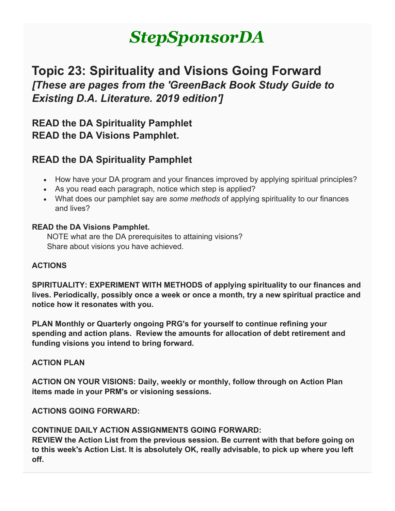# *StepSponsorDA*

# **Topic 23: Spirituality and Visions Going Forward** *[These are pages from the 'GreenBack Book Study Guide to Existing D.A. Literature. 2019 edition']*

## **READ the DA Spirituality Pamphlet READ the DA Visions Pamphlet.**

## **READ the DA Spirituality Pamphlet**

- How have your DA program and your finances improved by applying spiritual principles?
- As you read each paragraph, notice which step is applied?
- What does our pamphlet say are *some methods* of applying spirituality to our finances and lives?

#### **READ the DA Visions Pamphlet.**

 NOTE what are the DA prerequisites to attaining visions? Share about visions you have achieved.

#### **ACTIONS**

**SPIRITUALITY: EXPERIMENT WITH METHODS of applying spirituality to our finances and lives. Periodically, possibly once a week or once a month, try a new spiritual practice and notice how it resonates with you.**

**PLAN Monthly or Quarterly ongoing PRG's for yourself to continue refining your spending and action plans. Review the amounts for allocation of debt retirement and funding visions you intend to bring forward.**

#### **ACTION PLAN**

**ACTION ON YOUR VISIONS: Daily, weekly or monthly, follow through on Action Plan items made in your PRM's or visioning sessions.**

**ACTIONS GOING FORWARD:**

#### **CONTINUE DAILY ACTION ASSIGNMENTS GOING FORWARD:**

**REVIEW the Action List from the previous session. Be current with that before going on to this week's Action List. It is absolutely OK, really advisable, to pick up where you left off.**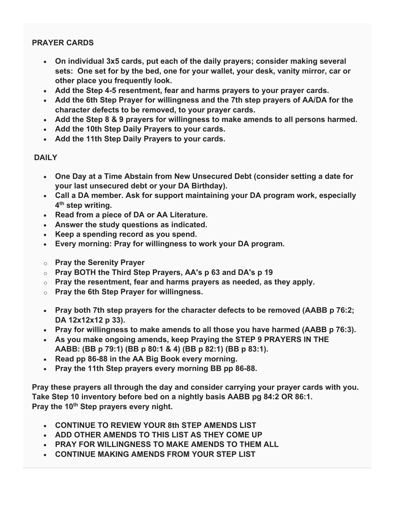#### **PRAYER CARDS**

- **On individual 3x5 cards, put each of the daily prayers; consider making several sets: One set for by the bed, one for your wallet, your desk, vanity mirror, car or other place you frequently look.**
- **Add the Step 4-5 resentment, fear and harms prayers to your prayer cards.**
- **Add the 6th Step Prayer for willingness and the 7th step prayers of AA/DA for the character defects to be removed, to your prayer cards.**
- **Add the Step 8 & 9 prayers for willingness to make amends to all persons harmed.**
- **Add the 10th Step Daily Prayers to your cards.**
- **Add the 11th Step Daily Prayers to your cards.**

#### **DAILY**

- **One Day at a Time Abstain from New Unsecured Debt (consider setting a date for your last unsecured debt or your DA Birthday).**
- **Call a DA member. Ask for support maintaining your DA program work, especially 4th step writing.**
- **Read from a piece of DA or AA Literature.**
- **Answer the study questions as indicated.**
- **Keep a spending record as you spend.**
- **Every morning: Pray for willingness to work your DA program.**
- o **Pray the Serenity Prayer**
- o **Pray BOTH the Third Step Prayers, AA's p 63 and DA's p 19**
- o **Pray the resentment, fear and harms prayers as needed, as they apply.**
- o **Pray the 6th Step Prayer for willingness.**
- **Pray both 7th step prayers for the character defects to be removed (AABB p 76:2; DA 12x12x12 p 33).**
- **Pray for willingness to make amends to all those you have harmed (AABB p 76:3).**
- **As you make ongoing amends, keep Praying the STEP 9 PRAYERS IN THE AABB: (BB p 79:1) (BB p 80:1 & 4) (BB p 82:1) (BB p 83:1).**
- **Read pp 86-88 in the AA Big Book every morning.**
- **Pray the 11th Step prayers every morning BB pp 86-88.**

**Pray these prayers all through the day and consider carrying your prayer cards with you. Take Step 10 inventory before bed on a nightly basis AABB pg 84:2 OR 86:1. Pray the 10th Step prayers every night.**

- **CONTINUE TO REVIEW YOUR 8th STEP AMENDS LIST**
- **ADD OTHER AMENDS TO THIS LIST AS THEY COME UP**
- **PRAY FOR WILLINGNESS TO MAKE AMENDS TO THEM ALL**
- **CONTINUE MAKING AMENDS FROM YOUR STEP LIST**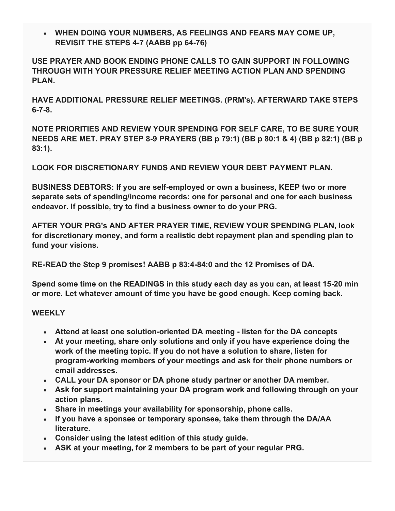• **WHEN DOING YOUR NUMBERS, AS FEELINGS AND FEARS MAY COME UP, REVISIT THE STEPS 4-7 (AABB pp 64-76)**

**USE PRAYER AND BOOK ENDING PHONE CALLS TO GAIN SUPPORT IN FOLLOWING THROUGH WITH YOUR PRESSURE RELIEF MEETING ACTION PLAN AND SPENDING PLAN.**

**HAVE ADDITIONAL PRESSURE RELIEF MEETINGS. (PRM's). AFTERWARD TAKE STEPS 6-7-8.**

**NOTE PRIORITIES AND REVIEW YOUR SPENDING FOR SELF CARE, TO BE SURE YOUR NEEDS ARE MET. PRAY STEP 8-9 PRAYERS (BB p 79:1) (BB p 80:1 & 4) (BB p 82:1) (BB p 83:1).**

**LOOK FOR DISCRETIONARY FUNDS AND REVIEW YOUR DEBT PAYMENT PLAN.**

**BUSINESS DEBTORS: If you are self-employed or own a business, KEEP two or more separate sets of spending/income records: one for personal and one for each business endeavor. If possible, try to find a business owner to do your PRG.**

**AFTER YOUR PRG's AND AFTER PRAYER TIME, REVIEW YOUR SPENDING PLAN, look for discretionary money, and form a realistic debt repayment plan and spending plan to fund your visions.**

**RE-READ the Step 9 promises! AABB p 83:4-84:0 and the 12 Promises of DA.**

**Spend some time on the READINGS in this study each day as you can, at least 15-20 min or more. Let whatever amount of time you have be good enough. Keep coming back.**

#### **WEEKLY**

- **Attend at least one solution-oriented DA meeting - listen for the DA concepts**
- **At your meeting, share only solutions and only if you have experience doing the work of the meeting topic. If you do not have a solution to share, listen for program-working members of your meetings and ask for their phone numbers or email addresses.**
- **CALL your DA sponsor or DA phone study partner or another DA member.**
- **Ask for support maintaining your DA program work and following through on your action plans.**
- **Share in meetings your availability for sponsorship, phone calls.**
- **If you have a sponsee or temporary sponsee, take them through the DA/AA literature.**
- **Consider using the latest edition of this study guide.**
- **ASK at your meeting, for 2 members to be part of your regular PRG.**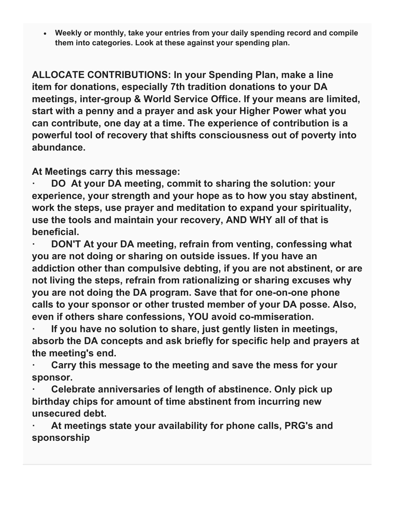• **Weekly or monthly, take your entries from your daily spending record and compile them into categories. Look at these against your spending plan.**

**ALLOCATE CONTRIBUTIONS: In your Spending Plan, make a line item for donations, especially 7th tradition donations to your DA meetings, inter-group & World Service Office. If your means are limited, start with a penny and a prayer and ask your Higher Power what you can contribute, one day at a time. The experience of contribution is a powerful tool of recovery that shifts consciousness out of poverty into abundance.**

**At Meetings carry this message:**

**· DO At your DA meeting, commit to sharing the solution: your experience, your strength and your hope as to how you stay abstinent, work the steps, use prayer and meditation to expand your spirituality, use the tools and maintain your recovery, AND WHY all of that is beneficial.**

**· DON'T At your DA meeting, refrain from venting, confessing what you are not doing or sharing on outside issues. If you have an addiction other than compulsive debting, if you are not abstinent, or are not living the steps, refrain from rationalizing or sharing excuses why you are not doing the DA program. Save that for one-on-one phone calls to your sponsor or other trusted member of your DA posse. Also, even if others share confessions, YOU avoid co-mmiseration.**

**· If you have no solution to share, just gently listen in meetings, absorb the DA concepts and ask briefly for specific help and prayers at the meeting's end.**

**· Carry this message to the meeting and save the mess for your sponsor.**

**· Celebrate anniversaries of length of abstinence. Only pick up birthday chips for amount of time abstinent from incurring new unsecured debt.**

**· At meetings state your availability for phone calls, PRG's and sponsorship**